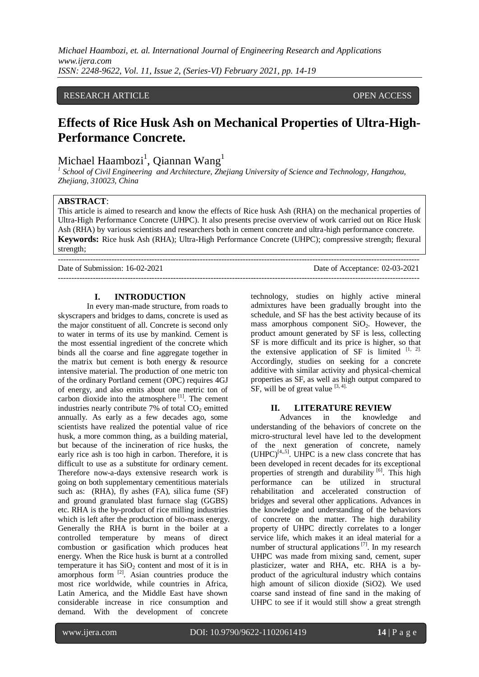*Michael Haambozi, et. al. International Journal of Engineering Research and Applications www.ijera.com ISSN: 2248-9622, Vol. 11, Issue 2, (Series-VI) February 2021, pp. 14-19*

### RESEARCH ARTICLE **CONSERVERS** OPEN ACCESS

# **Effects of Rice Husk Ash on Mechanical Properties of Ultra-High-Performance Concrete.**

# Michael Haambozi $^1$ , Qiannan Wang $^1$

*1 School of Civil Engineering and Architecture, Zhejiang University of Science and Technology, Hangzhou, Zhejiang, 310023, China*

#### **ABSTRACT**:

This article is aimed to research and know the effects of Rice husk Ash (RHA) on the mechanical properties of Ultra-High Performance Concrete (UHPC). It also presents precise overview of work carried out on Rice Husk Ash (RHA) by various scientists and researchers both in cement concrete and ultra-high performance concrete. **Keywords:** Rice husk Ash (RHA); Ultra-High Performance Concrete (UHPC); compressive strength; flexural strength;

--------------------------------------------------------------------------------------------------------------------------------------- Date of Submission: 16-02-2021 Date of Acceptance: 02-03-2021 ---------------------------------------------------------------------------------------------------------------------------------------

## **I. INTRODUCTION**

In every man-made structure, from roads to skyscrapers and bridges to dams, concrete is used as the major constituent of all. Concrete is second only to water in terms of its use by mankind. Cement is the most essential ingredient of the concrete which binds all the coarse and fine aggregate together in the matrix but cement is both energy & resource intensive material. The production of one metric ton of the ordinary Portland cement (OPC) requires 4GJ of energy, and also emits about one metric ton of carbon dioxide into the atmosphere <sup>[1]</sup>. The cement industries nearly contribute  $7\%$  of total  $CO<sub>2</sub>$  emitted annually. As early as a few decades ago, some scientists have realized the potential value of rice husk, a more common thing, as a building material, but because of the incineration of rice husks, the early rice ash is too high in carbon. Therefore, it is difficult to use as a substitute for ordinary cement. Therefore now-a-days extensive research work is going on both supplementary cementitious materials such as: (RHA), fly ashes (FA), silica fume (SF) and ground granulated blast furnace slag (GGBS) etc. RHA is the by-product of rice milling industries which is left after the production of bio-mass energy. Generally the RHA is burnt in the boiler at a controlled temperature by means of direct combustion or gasification which produces heat energy. When the Rice husk is burnt at a controlled temperature it has  $SiO<sub>2</sub>$  content and most of it is in amorphous form [2]. Asian countries produce the most rice worldwide, while countries in Africa, Latin America, and the Middle East have shown considerable increase in rice consumption and demand. With the development of concrete

technology, studies on highly active mineral admixtures have been gradually brought into the schedule, and SF has the best activity because of its mass amorphous component  $SiO<sub>2</sub>$ . However, the product amount generated by SF is less, collecting SF is more difficult and its price is higher, so that the extensive application of SF is limited  $[1, 2]$ . Accordingly, studies on seeking for a concrete additive with similar activity and physical-chemical properties as SF, as well as high output compared to SF, will be of great value  $[3, 4]$ .

#### **II. LITERATURE REVIEW**

Advances in the knowledge and understanding of the behaviors of concrete on the micro-structural level have led to the development of the next generation of concrete, namely  $(UHPC)^{[4,5]}$ . UHPC is a new class concrete that has been developed in recent decades for its exceptional properties of strength and durability <sup>[6]</sup>. This high performance can be utilized in structural rehabilitation and accelerated construction of bridges and several other applications. Advances in the knowledge and understanding of the behaviors of concrete on the matter. The high durability property of UHPC directly correlates to a longer service life, which makes it an ideal material for a number of structural applications<sup>[7]</sup>. In my research UHPC was made from mixing sand, cement, super plasticizer, water and RHA, etc. RHA is a byproduct of the agricultural industry which contains high amount of silicon dioxide (SiO2). We used coarse sand instead of fine sand in the making of UHPC to see if it would still show a great strength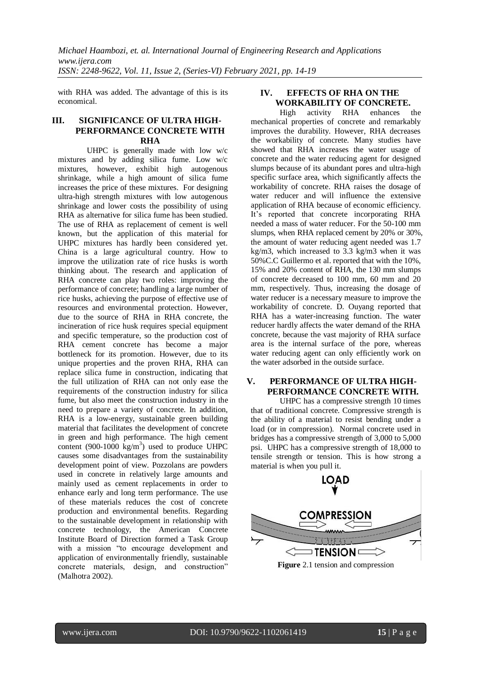with RHA was added. The advantage of this is its economical.

## **III. SIGNIFICANCE OF ULTRA HIGH-PERFORMANCE CONCRETE WITH RHA**

UHPC is generally made with low w/c mixtures and by adding silica fume. Low w/c mixtures, however, exhibit high autogenous shrinkage, while a high amount of silica fume increases the price of these mixtures. For designing ultra-high strength mixtures with low autogenous shrinkage and lower costs the possibility of using RHA as alternative for silica fume has been studied. The use of RHA as replacement of cement is well known, but the application of this material for UHPC mixtures has hardly been considered yet. China is a large agricultural country. How to improve the utilization rate of rice husks is worth thinking about. The research and application of RHA concrete can play two roles: improving the performance of concrete; handling a large number of rice husks, achieving the purpose of effective use of resources and environmental protection. However, due to the source of RHA in RHA concrete, the incineration of rice husk requires special equipment and specific temperature, so the production cost of RHA cement concrete has become a major bottleneck for its promotion. However, due to its unique properties and the proven RHA, RHA can replace silica fume in construction, indicating that the full utilization of RHA can not only ease the requirements of the construction industry for silica fume, but also meet the construction industry in the need to prepare a variety of concrete. In addition, RHA is a low-energy, sustainable green building material that facilitates the development of concrete in green and high performance. The high cement content (900-1000  $\text{kg/m}^3$ ) used to produce UHPC causes some disadvantages from the sustainability development point of view. Pozzolans are powders used in concrete in relatively large amounts and mainly used as cement replacements in order to enhance early and long term performance. The use of these materials reduces the cost of concrete production and environmental benefits. Regarding to the sustainable development in relationship with concrete technology, the American Concrete Institute Board of Direction formed a Task Group with a mission "to encourage development and application of environmentally friendly, sustainable concrete materials, design, and construction" (Malhotra 2002).

## **IV. EFFECTS OF RHA ON THE WORKABILITY OF CONCRETE.**

High activity RHA enhances the mechanical properties of concrete and remarkably improves the durability. However, RHA decreases the workability of concrete. Many studies have showed that RHA increases the water usage of concrete and the water reducing agent for designed slumps because of its abundant pores and ultra-high specific surface area, which significantly affects the workability of concrete. RHA raises the dosage of water reducer and will influence the extensive application of RHA because of economic efficiency. It's reported that concrete incorporating RHA needed a mass of water reducer. For the 50-100 mm slumps, when RHA replaced cement by 20% or 30%, the amount of water reducing agent needed was 1.7 kg/m3, which increased to 3.3 kg/m3 when it was 50%C.C Guillermo et al. reported that with the 10%, 15% and 20% content of RHA, the 130 mm slumps of concrete decreased to 100 mm, 60 mm and 20 mm, respectively. Thus, increasing the dosage of water reducer is a necessary measure to improve the workability of concrete. D. Ouyang reported that RHA has a water-increasing function. The water reducer hardly affects the water demand of the RHA concrete, because the vast majority of RHA surface area is the internal surface of the pore, whereas water reducing agent can only efficiently work on the water adsorbed in the outside surface.

## **V. PERFORMANCE OF ULTRA HIGH-PERFORMANCE CONCRETE WITH.**

UHPC has a compressive strength 10 times that of traditional concrete. Compressive strength is the ability of a material to resist bending under a load (or in compression). Normal concrete used in bridges has a compressive strength of 3,000 to 5,000 psi. UHPC has a compressive strength of 18,000 to tensile strength or tension. This is how strong a material is when you pull it.



**Figure** 2.1 tension and compression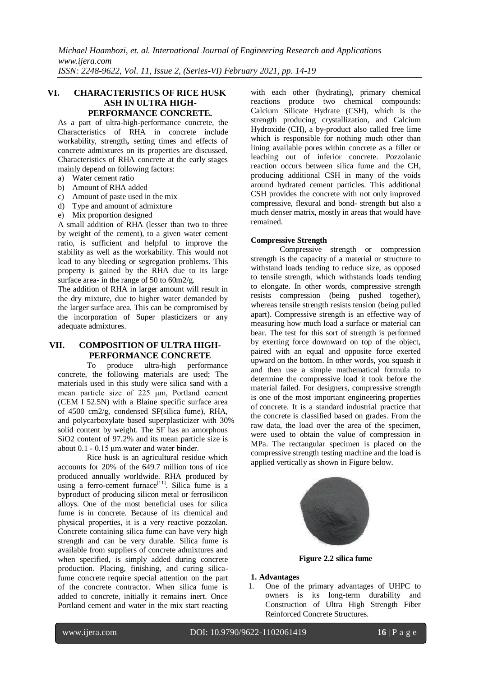### **VI. CHARACTERISTICS OF RICE HUSK ASH IN ULTRA HIGH-PERFORMANCE CONCRETE.**

As a part of ultra-high-performance concrete, the Characteristics of RHA in concrete include workability, strength**,** setting times and effects of concrete admixtures on its properties are discussed. Characteristics of RHA concrete at the early stages mainly depend on following factors:

- a) Water cement ratio
- b) Amount of RHA added
- c) Amount of paste used in the mix
- d) Type and amount of admixture
- e) Mix proportion designed

A small addition of RHA (lesser than two to three by weight of the cement), to a given water cement ratio, is sufficient and helpful to improve the stability as well as the workability. This would not lead to any bleeding or segregation problems. This property is gained by the RHA due to its large surface area- in the range of 50 to 60m2/g.

The addition of RHA in larger amount will result in the dry mixture, due to higher water demanded by the larger surface area. This can be compromised by the incorporation of Super plasticizers or any adequate admixtures.

## **VII. COMPOSITION OF ULTRA HIGH-PERFORMANCE CONCRETE**

To produce ultra-high performance concrete, the following materials are used; The materials used in this study were silica sand with a mean particle size of 225 μm, Portland cement (CEM I 52.5N) with a Blaine specific surface area of 4500 cm2/g, condensed SF(silica fume), RHA, and polycarboxylate based superplasticizer with 30% solid content by weight. The SF has an amorphous SiO2 content of 97.2% and its mean particle size is about 0.1 - 0.15 μm.water and water binder.

Rice husk is an agricultural residue which accounts for 20% of the 649.7 million tons of rice produced annually worldwide. RHA produced by using a ferro-cement furnace<sup>[11]</sup>. Silica fume is a byproduct of producing silicon metal or ferrosilicon alloys. One of the most beneficial uses for silica fume is in concrete. Because of its chemical and physical properties, it is a very reactive pozzolan. Concrete containing silica fume can have very high strength and can be very durable. Silica fume is available from suppliers of concrete admixtures and when specified, is simply added during concrete production. Placing, finishing, and curing silicafume concrete require special attention on the part of the concrete contractor. When silica fume is added to concrete, initially it remains inert. Once Portland cement and water in the mix start reacting with each other (hydrating), primary chemical reactions produce two chemical compounds: Calcium Silicate Hydrate (CSH), which is the strength producing crystallization, and Calcium Hydroxide (CH), a by-product also called free lime which is responsible for nothing much other than lining available pores within concrete as a filler or leaching out of inferior concrete. Pozzolanic reaction occurs between silica fume and the CH, producing additional CSH in many of the voids around hydrated cement particles. This additional CSH provides the concrete with not only improved compressive, flexural and bond- strength but also a much denser matrix, mostly in areas that would have remained.

#### **Compressive Strength**

Compressive strength or compression strength is the capacity of a material or structure to withstand loads tending to reduce size, as opposed to tensile strength, which withstands loads tending to elongate. In other words, compressive strength resists compression (being pushed together), whereas tensile strength resists tension (being pulled apart). Compressive strength is an effective way of measuring how much load a surface or material can bear. The test for this sort of strength is performed by exerting force downward on top of the object, paired with an equal and opposite force exerted upward on the bottom. In other words, you squash it and then use a simple mathematical formula to determine the compressive load it took before the material failed. For designers, compressive strength is one of the most important engineering properties of [concrete.](https://en.wikipedia.org/wiki/Concrete) It is a standard industrial practice that the concrete is classified based on grades. From the raw data, the load over the area of the specimen, were used to obtain the value of compression in MPa. The rectangular specimen is placed on the compressive strength testing machine and the load is applied vertically as shown in Figure below.



**Figure 2.2 silica fume**

**1. Advantages**

1. One of the primary advantages of UHPC to owners is its long-term durability and Construction of Ultra High Strength Fiber Reinforced Concrete Structures.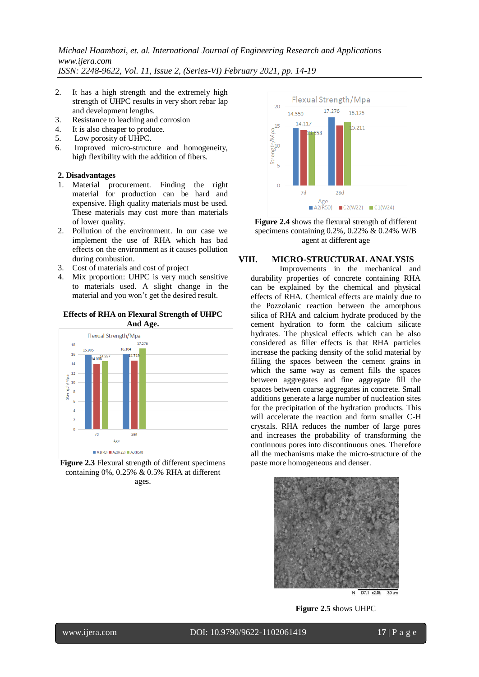# *Michael Haambozi, et. al. International Journal of Engineering Research and Applications www.ijera.com*

*ISSN: 2248-9622, Vol. 11, Issue 2, (Series-VI) February 2021, pp. 14-19*

- 2. It has a high strength and the extremely high strength of UHPC results in very short rebar lap and development lengths.
- 3. Resistance to leaching and corrosion
- 4. It is also cheaper to produce.
- 5. Low porosity of UHPC.
- 6. Improved micro-structure and homogeneity, high flexibility with the addition of fibers.

## **2. Disadvantages**

- 1. Material procurement. Finding the right material for production can be hard and expensive. High quality materials must be used. These materials may cost more than materials of lower quality.
- 2. Pollution of the environment. In our case we implement the use of RHA which has bad effects on the environment as it causes pollution during combustion.
- 3. Cost of materials and cost of project
- 4. Mix proportion: UHPC is very much sensitive to materials used. A slight change in the material and you won't get the desired result.

#### **Effects of RHA on Flexural Strength of UHPC And Age.**









## **VIII. MICRO-STRUCTURAL ANALYSIS**

Improvements in the mechanical and durability properties of concrete containing RHA can be explained by the chemical and physical effects of RHA. Chemical effects are mainly due to the Pozzolanic reaction between the amorphous silica of RHA and calcium hydrate produced by the cement hydration to form the calcium silicate hydrates. The physical effects which can be also considered as filler effects is that RHA particles increase the packing density of the solid material by filling the spaces between the cement grains in which the same way as cement fills the spaces between aggregates and fine aggregate fill the spaces between coarse aggregates in concrete. Small additions generate a large number of nucleation sites for the precipitation of the hydration products. This will accelerate the reaction and form smaller C-H crystals. RHA reduces the number of large pores and increases the probability of transforming the continuous pores into discontinuous ones. Therefore all the mechanisms make the micro-structure of the paste more homogeneous and denser.



**Figure 2.5 s**hows UHPC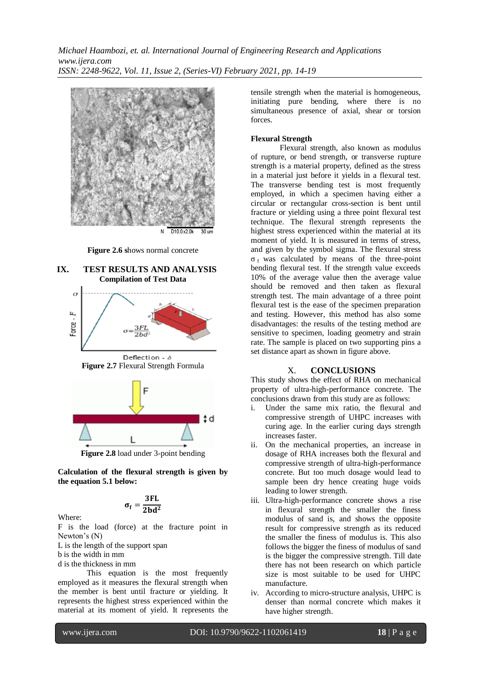*Michael Haambozi, et. al. International Journal of Engineering Research and Applications www.ijera.com ISSN: 2248-9622, Vol. 11, Issue 2, (Series-VI) February 2021, pp. 14-19*



**Figure 2.6 s**hows normal concrete









**Figure 2.8** load under 3-point bending

**Calculation of the flexural strength is given by the equation 5.1 below:**

$$
\sigma_f = \frac{3FL}{2bd^2}
$$

Where:

F is the load (force) at the fracture point in Newton's (N)

L is the length of the support span

b is the width in mm

d is the thickness in mm

This equation is the most frequently employed as it measures the flexural strength when the member is bent until fracture or yielding. It represents the highest stress experienced within the material at its moment of yield. It represents the tensile strength when the material is homogeneous, initiating pure bending, where there is no simultaneous presence of axial, shear or torsion forces.

#### **Flexural Strength**

Flexural strength, also known as modulus of rupture, or bend strength, or transverse rupture strength is a material property, defined as the stress in a material just before it yields in a flexural test. The transverse bending test is most frequently employed, in which a specimen having either a circular or rectangular cross-section is bent until fracture or yielding using a three point flexural test technique. The flexural strength represents the highest stress experienced within the material at its moment of yield. It is measured in terms of stress, and given by the symbol sigma. The flexural stress  $\sigma_f$  was calculated by means of the three-point bending flexural test. If the strength value exceeds 10% of the average value then the average value should be removed and then taken as flexural strength test. The main advantage of a three point flexural test is the ease of the specimen preparation and testing. However, this method has also some disadvantages: the results of the testing method are sensitive to specimen, loading geometry and strain rate. The sample is placed on two supporting pins a set distance apart as shown in figure above.

#### X. **CONCLUSIONS**

This study shows the effect of RHA on mechanical property of ultra-high-performance concrete. The conclusions drawn from this study are as follows:

- i. Under the same mix ratio, the flexural and compressive strength of UHPC increases with curing age. In the earlier curing days strength increases faster.
- ii. On the mechanical properties, an increase in dosage of RHA increases both the flexural and compressive strength of ultra-high-performance concrete. But too much dosage would lead to sample been dry hence creating huge voids leading to lower strength.
- iii. Ultra-high-performance concrete shows a rise in flexural strength the smaller the finess modulus of sand is, and shows the opposite result for compressive strength as its reduced the smaller the finess of modulus is. This also follows the bigger the finess of modulus of sand is the bigger the compressive strength. Till date there has not been research on which particle size is most suitable to be used for UHPC manufacture.
- iv. According to micro-structure analysis, UHPC is denser than normal concrete which makes it have higher strength.